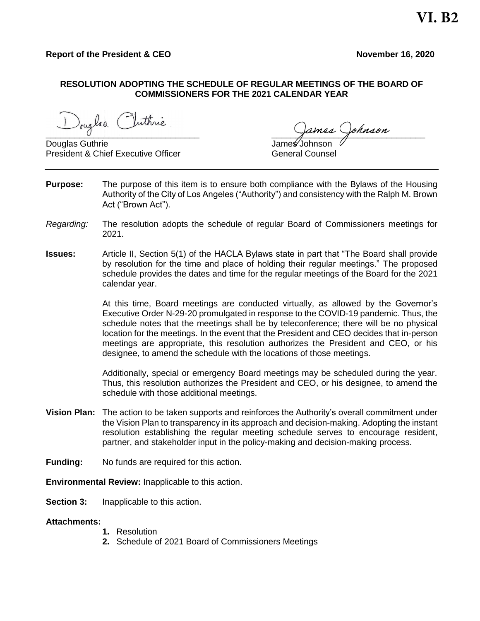## **RESOLUTION ADOPTING THE SCHEDULE OF REGULAR MEETINGS OF THE BOARD OF COMMISSIONERS FOR THE 2021 CALENDAR YEAR**

Jouglas Inthrie Tuthrie

Douglas Guthrie President & Chief Executive Officer Counsel General Counsel

- **Purpose:** The purpose of this item is to ensure both compliance with the Bylaws of the Housing Authority of the City of Los Angeles ("Authority") and consistency with the Ralph M. Brown Act ("Brown Act").
- *Regarding:* The resolution adopts the schedule of regular Board of Commissioners meetings for 2021.
- **Issues:** Article II, Section 5(1) of the HACLA Bylaws state in part that "The Board shall provide by resolution for the time and place of holding their regular meetings." The proposed schedule provides the dates and time for the regular meetings of the Board for the 2021 calendar year.

At this time, Board meetings are conducted virtually, as allowed by the Governor's Executive Order N-29-20 promulgated in response to the COVID-19 pandemic. Thus, the schedule notes that the meetings shall be by teleconference; there will be no physical location for the meetings. In the event that the President and CEO decides that in-person meetings are appropriate, this resolution authorizes the President and CEO, or his designee, to amend the schedule with the locations of those meetings.

Additionally, special or emergency Board meetings may be scheduled during the year. Thus, this resolution authorizes the President and CEO, or his designee, to amend the schedule with those additional meetings.

- **Vision Plan:** The action to be taken supports and reinforces the Authority's overall commitment under the Vision Plan to transparency in its approach and decision-making. Adopting the instant resolution establishing the regular meeting schedule serves to encourage resident, partner, and stakeholder input in the policy-making and decision-making process.
- **Funding:** No funds are required for this action.

**Environmental Review:** Inapplicable to this action.

**Section 3:** Inapplicable to this action.

## **Attachments:**

- **1.** Resolution
- **2.** Schedule of 2021 Board of Commissioners Meetings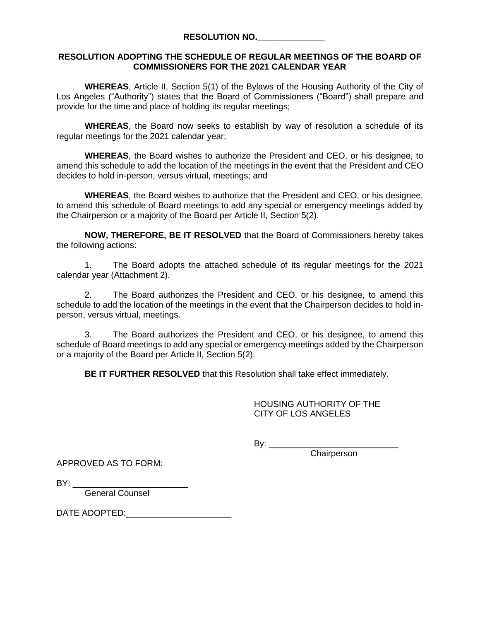## **RESOLUTION ADOPTING THE SCHEDULE OF REGULAR MEETINGS OF THE BOARD OF COMMISSIONERS FOR THE 2021 CALENDAR YEAR**

**WHEREAS**, Article II, Section 5(1) of the Bylaws of the Housing Authority of the City of Los Angeles ("Authority") states that the Board of Commissioners ("Board") shall prepare and provide for the time and place of holding its regular meetings;

**WHEREAS**, the Board now seeks to establish by way of resolution a schedule of its regular meetings for the 2021 calendar year;

**WHEREAS**, the Board wishes to authorize the President and CEO, or his designee, to amend this schedule to add the location of the meetings in the event that the President and CEO decides to hold in-person, versus virtual, meetings; and

**WHEREAS**, the Board wishes to authorize that the President and CEO, or his designee, to amend this schedule of Board meetings to add any special or emergency meetings added by the Chairperson or a majority of the Board per Article II, Section 5(2).

**NOW, THEREFORE, BE IT RESOLVED** that the Board of Commissioners hereby takes the following actions:

1. The Board adopts the attached schedule of its regular meetings for the 2021 calendar year (Attachment 2).

2. The Board authorizes the President and CEO, or his designee, to amend this schedule to add the location of the meetings in the event that the Chairperson decides to hold inperson, versus virtual, meetings.

3. The Board authorizes the President and CEO, or his designee, to amend this schedule of Board meetings to add any special or emergency meetings added by the Chairperson or a majority of the Board per Article II, Section 5(2).

**BE IT FURTHER RESOLVED** that this Resolution shall take effect immediately.

HOUSING AUTHORITY OF THE CITY OF LOS ANGELES

By: \_\_\_\_\_\_\_\_\_\_\_\_\_\_\_\_\_\_\_\_\_\_\_\_\_\_\_

**Chairperson** 

APPROVED AS TO FORM:

 $BY:$ 

General Counsel

DATE ADOPTED:\_\_\_\_\_\_\_\_\_\_\_\_\_\_\_\_\_\_\_\_\_\_